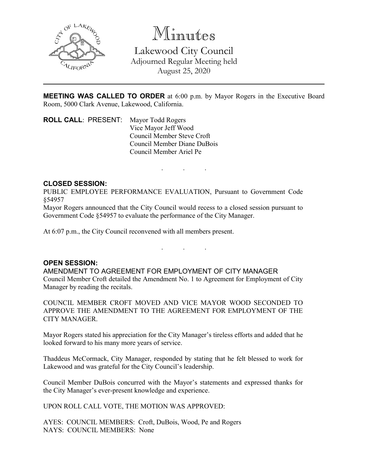

Minutes

Lakewood City Council Adjourned Regular Meeting held August 25, 2020

**MEETING WAS CALLED TO ORDER** at 6:00 p.m. by Mayor Rogers in the Executive Board Room, 5000 Clark Avenue, Lakewood, California.

. . .

**ROLL CALL**: PRESENT: Mayor Todd Rogers Vice Mayor Jeff Wood Council Member Steve Croft Council Member Diane DuBois Council Member Ariel Pe

## **CLOSED SESSION:**

PUBLIC EMPLOYEE PERFORMANCE EVALUATION, Pursuant to Government Code §54957

Mayor Rogers announced that the City Council would recess to a closed session pursuant to Government Code §54957 to evaluate the performance of the City Manager.

At 6:07 p.m., the City Council reconvened with all members present.

## **OPEN SESSION:**

AMENDMENT TO AGREEMENT FOR EMPLOYMENT OF CITY MANAGER Council Member Croft detailed the Amendment No. 1 to Agreement for Employment of City Manager by reading the recitals.

. . .

COUNCIL MEMBER CROFT MOVED AND VICE MAYOR WOOD SECONDED TO APPROVE THE AMENDMENT TO THE AGREEMENT FOR EMPLOYMENT OF THE CITY MANAGER.

Mayor Rogers stated his appreciation for the City Manager's tireless efforts and added that he looked forward to his many more years of service.

Thaddeus McCormack, City Manager, responded by stating that he felt blessed to work for Lakewood and was grateful for the City Council's leadership.

Council Member DuBois concurred with the Mayor's statements and expressed thanks for the City Manager's ever-present knowledge and experience.

UPON ROLL CALL VOTE, THE MOTION WAS APPROVED:

AYES: COUNCIL MEMBERS: Croft, DuBois, Wood, Pe and Rogers NAYS: COUNCIL MEMBERS: None